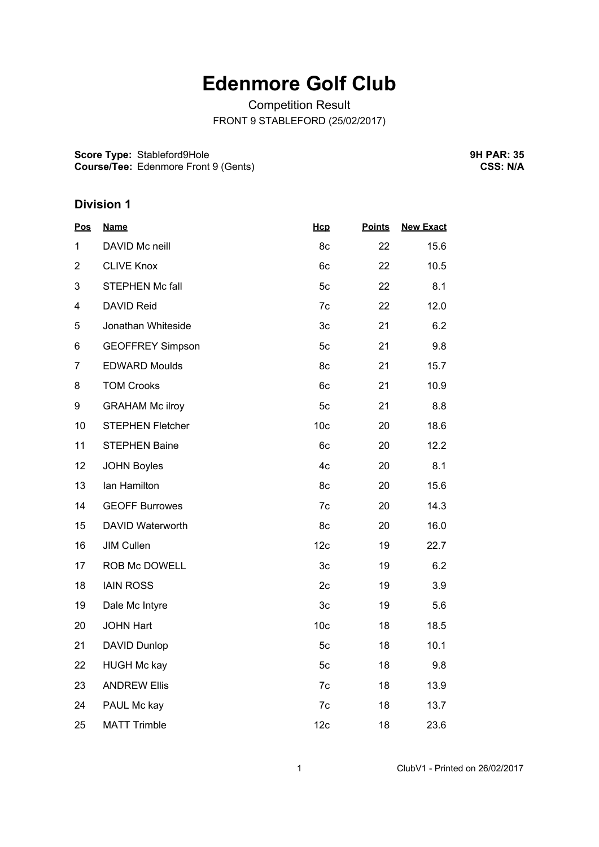## **Edenmore Golf Club**

Competition Result FRONT 9 STABLEFORD (25/02/2017)

**Score Type:** Stableford9Hole **Course/Tee:** Edenmore Front 9 (Gents) **9H PAR: 35 CSS: N/A**

## **Division 1**

| <b>Pos</b>              | <b>Name</b>             | Hcp             | <b>Points</b> | <b>New Exact</b> |
|-------------------------|-------------------------|-----------------|---------------|------------------|
| 1                       | DAVID Mc neill          | 8c              | 22            | 15.6             |
| $\overline{2}$          | <b>CLIVE Knox</b>       | 6c              | 22            | 10.5             |
| 3                       | <b>STEPHEN Mc fall</b>  | 5c              | 22            | 8.1              |
| $\overline{\mathbf{4}}$ | DAVID Reid              | 7c              | 22            | 12.0             |
| 5                       | Jonathan Whiteside      | 3c              | 21            | 6.2              |
| 6                       | <b>GEOFFREY Simpson</b> | 5c              | 21            | 9.8              |
| $\overline{7}$          | <b>EDWARD Moulds</b>    | 8c              | 21            | 15.7             |
| 8                       | <b>TOM Crooks</b>       | 6c              | 21            | 10.9             |
| 9                       | <b>GRAHAM Mc ilroy</b>  | 5c              | 21            | 8.8              |
| 10                      | <b>STEPHEN Fletcher</b> | 10 <sub>c</sub> | 20            | 18.6             |
| 11                      | <b>STEPHEN Baine</b>    | 6c              | 20            | 12.2             |
| 12                      | <b>JOHN Boyles</b>      | 4c              | 20            | 8.1              |
| 13                      | Ian Hamilton            | 8c              | 20            | 15.6             |
| 14                      | <b>GEOFF Burrowes</b>   | 7c              | 20            | 14.3             |
| 15                      | DAVID Waterworth        | 8c              | 20            | 16.0             |
| 16                      | <b>JIM Cullen</b>       | 12c             | 19            | 22.7             |
| 17                      | ROB Mc DOWELL           | 3 <sub>c</sub>  | 19            | 6.2              |
| 18                      | <b>IAIN ROSS</b>        | 2c              | 19            | 3.9              |
| 19                      | Dale Mc Intyre          | 3c              | 19            | 5.6              |
| 20                      | <b>JOHN Hart</b>        | 10 <sub>c</sub> | 18            | 18.5             |
| 21                      | DAVID Dunlop            | 5c              | 18            | 10.1             |
| 22                      | <b>HUGH Mc kay</b>      | 5c              | 18            | 9.8              |
| 23                      | <b>ANDREW Ellis</b>     | 7c              | 18            | 13.9             |
| 24                      | PAUL Mc kay             | 7c              | 18            | 13.7             |
| 25                      | <b>MATT Trimble</b>     | 12 <sub>c</sub> | 18            | 23.6             |